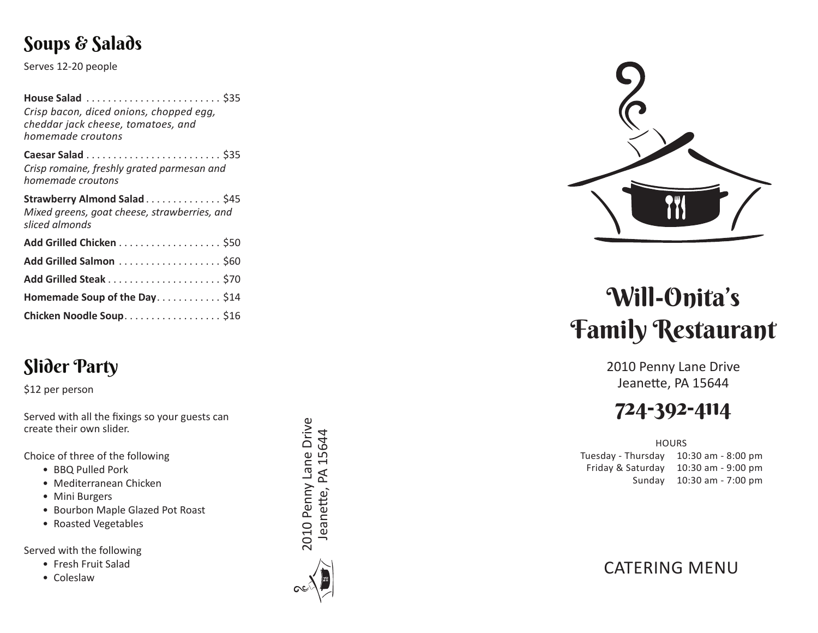### Soups & Salads

Serves 12-20 people

| House Salad  \$35<br>Crisp bacon, diced onions, chopped egg,<br>cheddar jack cheese, tomatoes, and<br>homemade croutons |  |
|-------------------------------------------------------------------------------------------------------------------------|--|
| Caesar Salad  \$35<br>Crisp romaine, freshly grated parmesan and<br>homemade croutons                                   |  |
| Strawberry Almond Salad \$45<br>Mixed greens, goat cheese, strawberries, and<br>sliced almonds                          |  |
| Add Grilled Chicken \$50                                                                                                |  |
| Add Grilled Salmon  \$60                                                                                                |  |
|                                                                                                                         |  |
| Homemade Soup of the Day\$14                                                                                            |  |
| Chicken Noodle Soup. \$16                                                                                               |  |
|                                                                                                                         |  |

# Slider Party

\$12 per person

Served with all the fixings so your guests can create their own slider.

Choice of three of the following

- BBQ Pulled Pork
- Mediterranean Chicken
- Mini Burgers
- Bourbon Maple Glazed Pot Roast
- Roasted Vegetables

Served with the following

- Fresh Fruit Salad
- Coleslaw







# Will-Onita's Family Restaurant

2010 Penny Lane Drive Jeanette, PA 15644

# 724-392-4114

**HOURS** 

Tuesday - Thursday 10:30 am - 8:00 pm Friday & Saturday 10:30 am - 9:00 pm Sunday 10:30 am - 7:00 pm

CATERING MENU